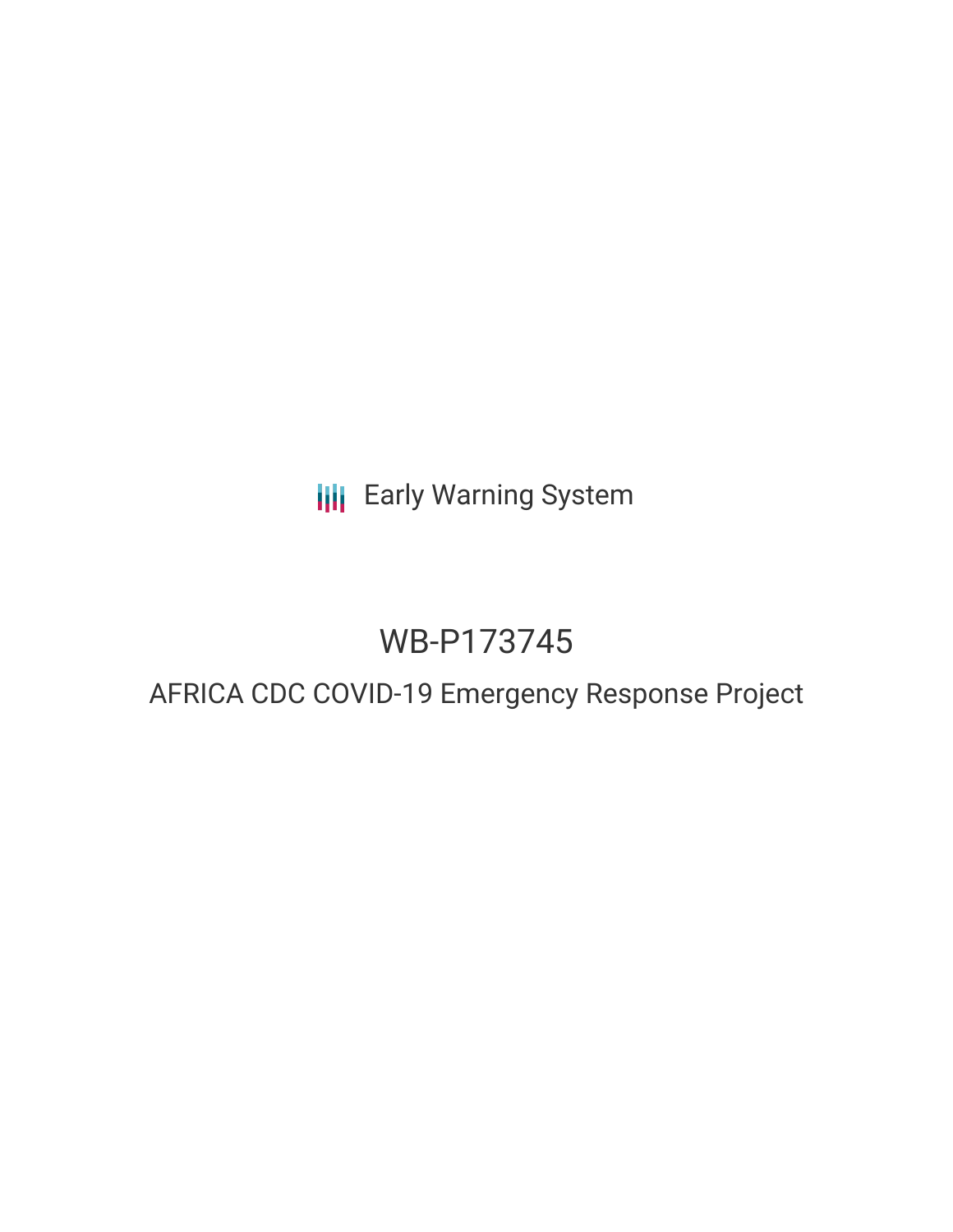**III** Early Warning System

# WB-P173745

## AFRICA CDC COVID-19 Emergency Response Project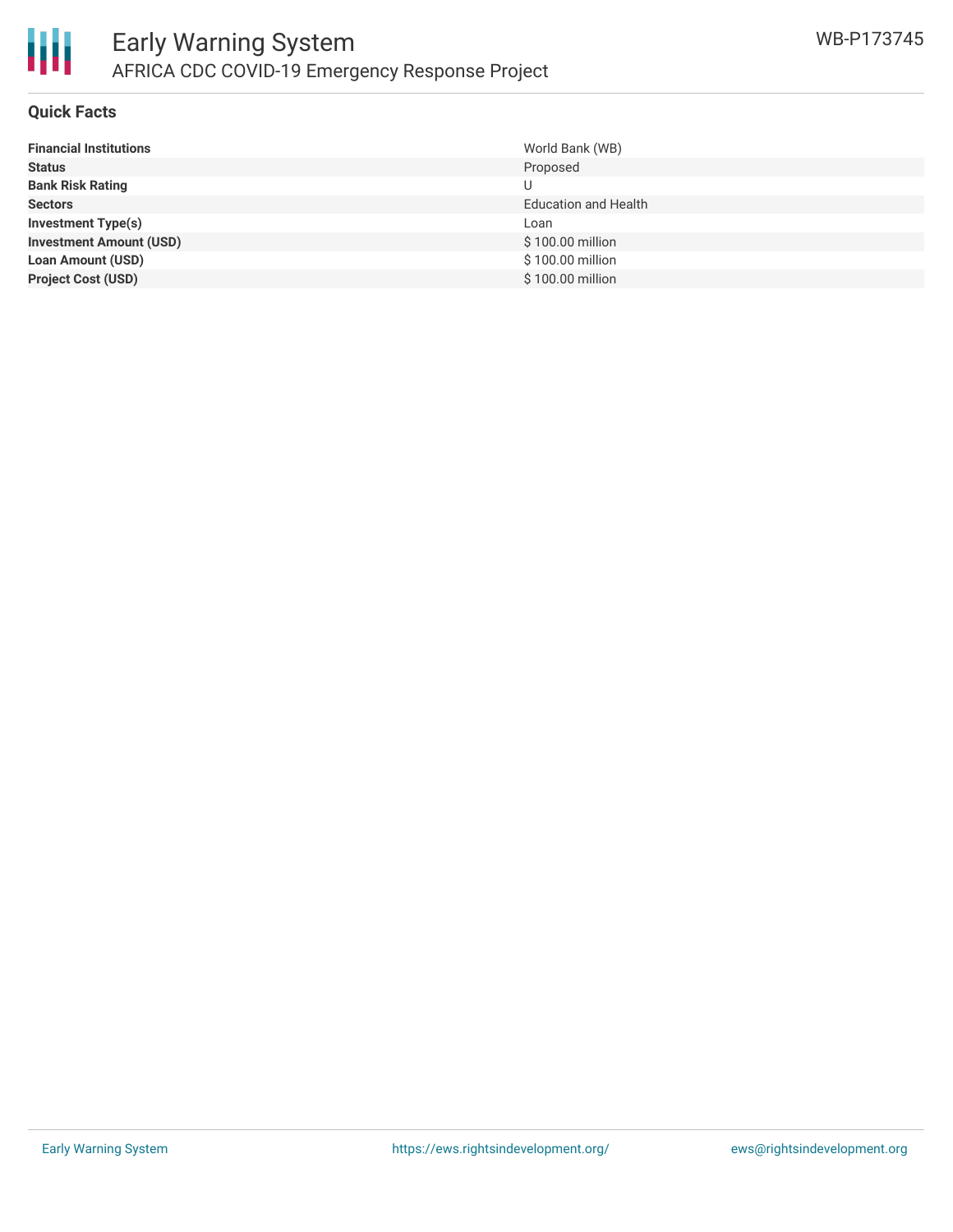

#### **Quick Facts**

| <b>Financial Institutions</b>  | World Bank (WB)             |
|--------------------------------|-----------------------------|
| <b>Status</b>                  | Proposed                    |
| <b>Bank Risk Rating</b>        |                             |
| <b>Sectors</b>                 | <b>Education and Health</b> |
| Investment Type(s)             | Loan                        |
| <b>Investment Amount (USD)</b> | \$100.00 million            |
| <b>Loan Amount (USD)</b>       | \$100.00 million            |
| <b>Project Cost (USD)</b>      | \$100.00 million            |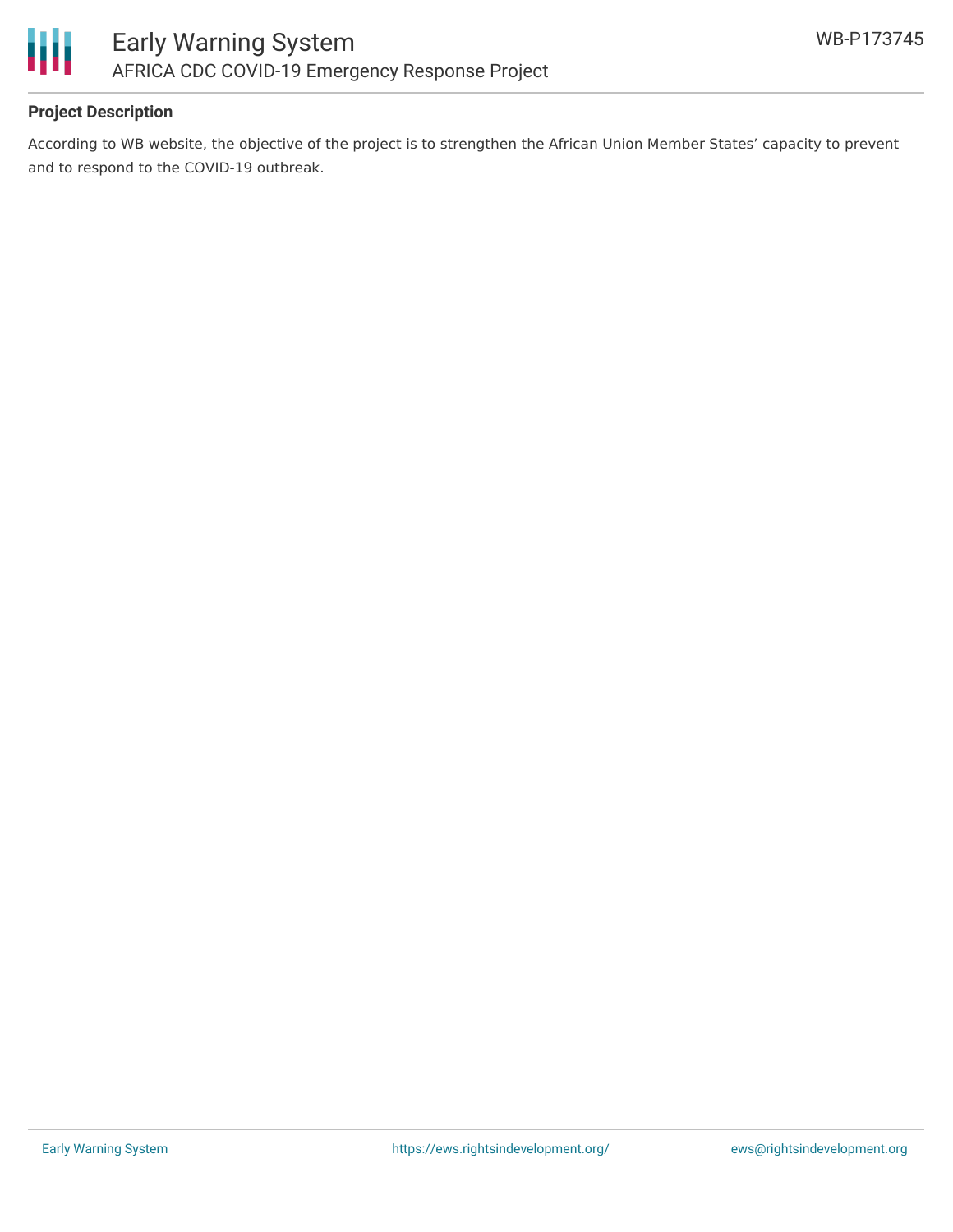

## **Project Description**

According to WB website, the objective of the project is to strengthen the African Union Member States' capacity to prevent and to respond to the COVID-19 outbreak.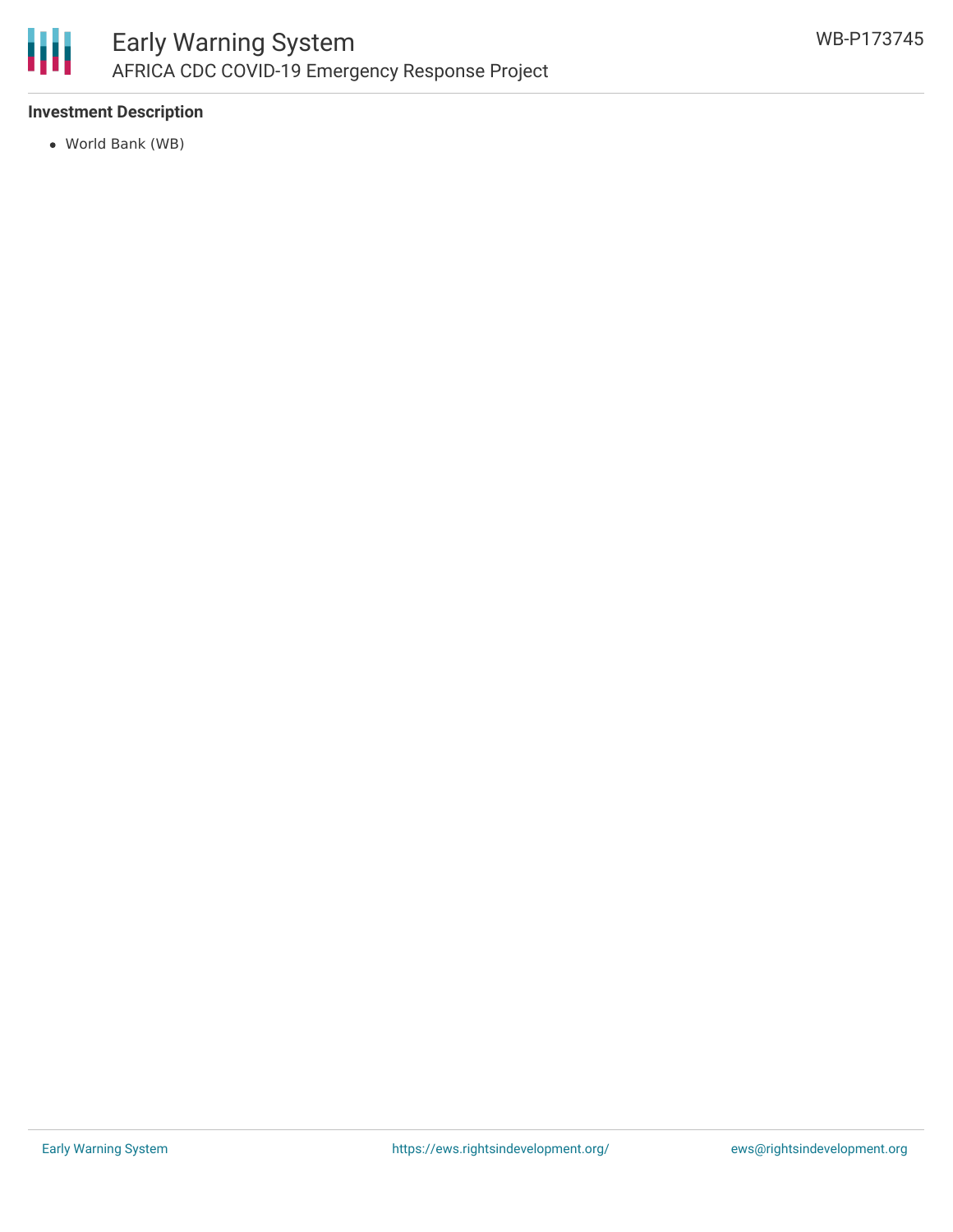

## **Investment Description**

World Bank (WB)